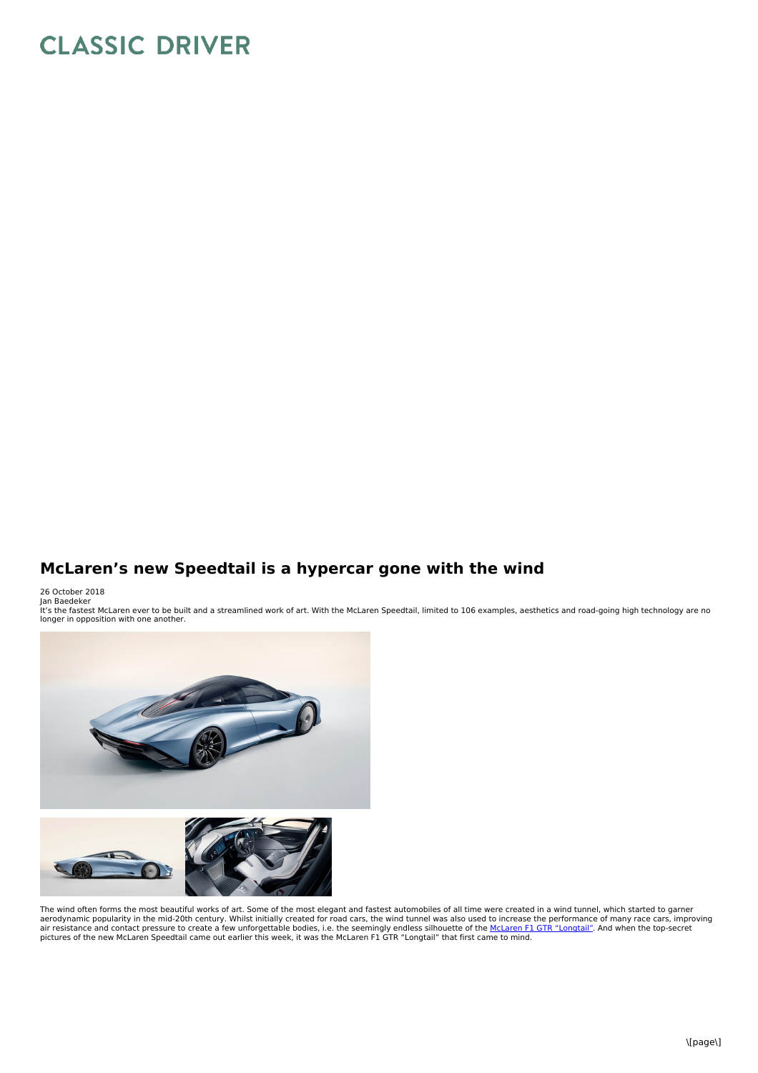## **CLASSIC DRIVER**

## **McLaren's new Speedtail is a hypercar gone with the wind**

26 October 2018 Jan Baedeker

It's the fastest McLaren ever to be built and a streamlined work of art. With the McLaren Speedtail, limited to 106 examples, aesthetics and road-going high technology are no longer in opposition with one another.



The wind often forms the most beautiful works of art. Some of the most elegant and fastest automobiles of all time were created in a wind tunnel, which started to garner aerodynamic popularity in the mid-20th century. Whilst initially created for road cars, the wind tunnel was also used to increase the performance of many race cars, improving<br>air resistance and contact pressure to create a